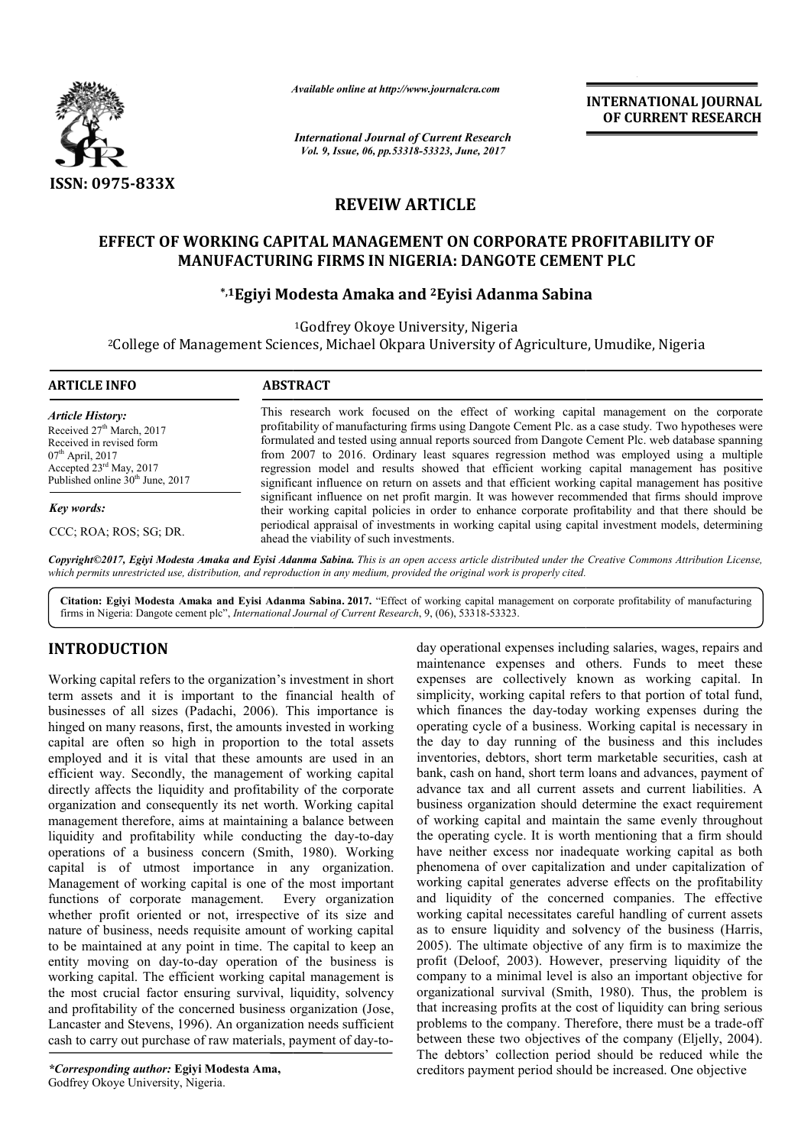

*Available online at http://www.journal http://www.journalcra.com*

*International Journal of Current Research Vol. 9, Issue, 06, pp.53318-53323, June, 2017*

**INTERNATIONAL JOURNAL OF CURRENT RESEARCH** 

## **REVEIW ARTICLE**

# **EFFECT OF WORKING CAPITAL MANAGEMENT ON CORPORATE PROFITABILITY OF MANUFACTURING FIRMS IN NIGERIA: DANGOTE CEMENT PLC** EMENT ON CORPORATE PROFIT*A*<br>NIGERIA: DANGOTE CEMENT PLC<br>a and <sup>2</sup>Eyisi Adanma Sabina

## **\*,1Egiyi Modesta Amaka and Egiyi 2Eyisi Adanma Sabina**

<sup>1</sup>Godfrey Okoye University, Nigeria

<sup>2</sup>College of Management Sciences, Michael Okpara University of Agriculture, Umudike, Nigeria

| <b>ARTICLE INFO</b>                                                                                                                                                                                       | <b>ABSTRACT</b>                                                                                                                                                                                                                                                                                                                                                                                                                                                                                                                                                                                        |
|-----------------------------------------------------------------------------------------------------------------------------------------------------------------------------------------------------------|--------------------------------------------------------------------------------------------------------------------------------------------------------------------------------------------------------------------------------------------------------------------------------------------------------------------------------------------------------------------------------------------------------------------------------------------------------------------------------------------------------------------------------------------------------------------------------------------------------|
| <b>Article History:</b><br>Received 27 <sup>th</sup> March, 2017<br>Received in revised form<br>$07th$ April, 2017<br>Accepted $23^{\text{rd}}$ May, 2017<br>Published online 30 <sup>th</sup> June, 2017 | This research work focused on the effect of working capital management on the corporate<br>profitability of manufacturing firms using Dangote Cement Plc. as a case study. Two hypotheses were<br>formulated and tested using annual reports sourced from Dangote Cement Plc. web database spanning<br>from 2007 to 2016. Ordinary least squares regression method was employed using a multiple<br>regression model and results showed that efficient working capital management has positive<br>significant influence on return on assets and that efficient working capital management has positive |
| Key words:                                                                                                                                                                                                | significant influence on net profit margin. It was however recommended that firms should improve<br>their working capital policies in order to enhance corporate profitability and that there should be                                                                                                                                                                                                                                                                                                                                                                                                |
| CCC; ROA; ROS; SG; DR.                                                                                                                                                                                    | periodical appraisal of investments in working capital using capital investment models, determining<br>ahead the viability of such investments.                                                                                                                                                                                                                                                                                                                                                                                                                                                        |

Copyright©2017, Egiyi Modesta Amaka and Eyisi Adanma Sabina. This is an open access article distributed under the Creative Commons Attribution License, which permits unrestricted use, distribution, and reproduction in any medium, provided the original work is properly cited.

Citation: Egiyi Modesta Amaka and Eyisi Adanma Sabina. 2017. "Effect of working capital management on corporate profitability of manufacturing firms in Nigeria: Dangote cement plc", *International Journal of Current Research* , 9, (06), 53318-53323.

## **INTRODUCTION**

Working capital refers to the organization's investment in short term assets and it is important to the financial health of businesses of all sizes (Padachi, 2006). This importance is hinged on many reasons, first, the amounts invested in working capital are often so high in proportion to the total assets employed and it is vital that these amounts are used in an efficient way. Secondly, the management of working capital directly affects the liquidity and profitability of the corporate organization and consequently its net worth. Working capital management therefore, aims at maintaining a balance betwe between liquidity and profitability while conducting the day-to-day operations of a business concern (Smith, 1980). Working capital is of utmost importance in any organization. Management of working capital is one of the most important functions of corporate management. Every organization whether profit oriented or not, irrespective of its size and nature of business, needs requisite amount of working capital to be maintained at any point in time. The capital to keep an entity moving on day-to-day operation of the business is working capital. The efficient working capital management is the most crucial factor ensuring survival, liquidity, solvency and profitability of the concerned business organization (Jose, Lancaster and Stevens, 1996). An organization needs sufficient cash to carry out purchase of raw materials, payment of day-torelationships and approximation<br>of the single and equisite amount of working capital<br>int in time. The capital to keep an<br>day operation of the business is

*\*Corresponding author:* **Egiyi Modesta Ama,** Godfrey Okoye University, Nigeria.

day operational expenses including salaries, wages, repairs and day operational expenses including salaries, wages, repairs and maintenance expenses and others. Funds to meet these expenses are collectively known as working capital. In simplicity, working capital refers to that portion of total fund, which finances the day-today working expenses during the operating cycle of a business. Working capital is necessary in the day to day running of the business and this includes inventories, debtors, short term marketable securities, cash at bank, cash on hand, short term loans and advances, payment of advance tax and all current assets and current liabilities. A business organization should determine the exact requirement of working capital and maintain the same evenly throughout the operating cycle. It is worth mentioning that a firm should have neither excess nor inadequate working capital as both phenomena of over capitalization and under capitalization of working capital generates adverse effects on the profitability and liquidity of the concerned companies. The effective working capital necessitates careful handling of current assets as to ensure liquidity and solvency of the business (Harris, 2005). The ultimate objective of any firm is to maximize the profit (Deloof, 2003). However, preserving liquidity of the company to a minimal level is also an important objective for organizational survival (Smith, 1980). Thus, the that increasing profits at the cost of liquidity can bring serious that increasing profits at the cost of liquidity can bring serious problems to the company. Therefore, there must be a trade-off between these two objectives of the company (Eljelly, 2004). between these two objectives of the company (Eljelly, 2004).<br>The debtors' collection period should be reduced while the creditors payment period should be increased. One objective ctively known<br>capital refers to<br>day-today worl day to day running of the business and this includes<br>entories, debtors, short term marketable securities, cash at<br>h, cash on hand, short term loans and advances, payment of<br>vance tax and all current assets and current liab 2005). The ultimate objective of any firm is to maximize the profit (Deloof, 2003). However, preserving liquidity of the company to a minimal level is also an important objective for organizational survival (Smith, 1980).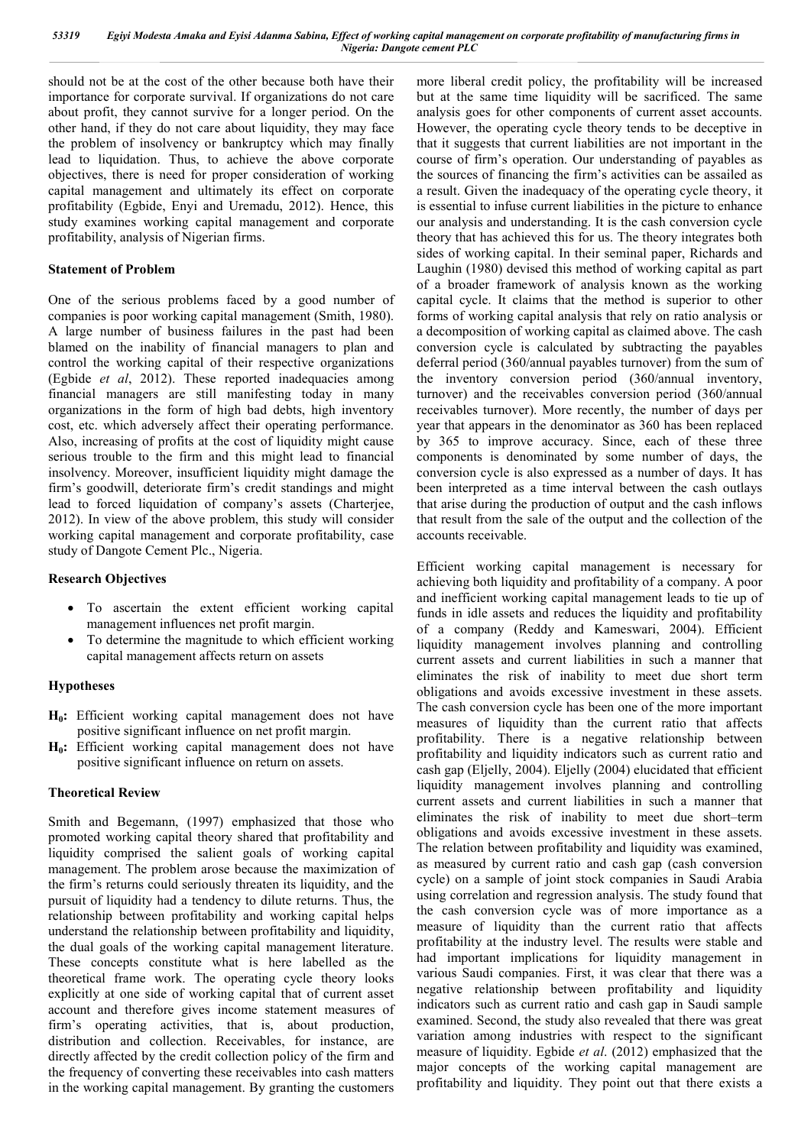should not be at the cost of the other because both have their importance for corporate survival. If organizations do not care about profit, they cannot survive for a longer period. On the other hand, if they do not care about liquidity, they may face the problem of insolvency or bankruptcy which may finally lead to liquidation. Thus, to achieve the above corporate objectives, there is need for proper consideration of working capital management and ultimately its effect on corporate profitability (Egbide, Enyi and Uremadu, 2012). Hence, this study examines working capital management and corporate profitability, analysis of Nigerian firms.

#### **Statement of Problem**

One of the serious problems faced by a good number of companies is poor working capital management (Smith, 1980). A large number of business failures in the past had been blamed on the inability of financial managers to plan and control the working capital of their respective organizations (Egbide *et al*, 2012). These reported inadequacies among financial managers are still manifesting today in many organizations in the form of high bad debts, high inventory cost, etc. which adversely affect their operating performance. Also, increasing of profits at the cost of liquidity might cause serious trouble to the firm and this might lead to financial insolvency. Moreover, insufficient liquidity might damage the firm's goodwill, deteriorate firm's credit standings and might lead to forced liquidation of company's assets (Charterjee, 2012). In view of the above problem, this study will consider working capital management and corporate profitability, case study of Dangote Cement Plc., Nigeria.

### **Research Objectives**

- To ascertain the extent efficient working capital management influences net profit margin.
- To determine the magnitude to which efficient working capital management affects return on assets

### **Hypotheses**

- **H0:** Efficient working capital management does not have positive significant influence on net profit margin.
- **H0:** Efficient working capital management does not have positive significant influence on return on assets.

### **Theoretical Review**

Smith and Begemann, (1997) emphasized that those who promoted working capital theory shared that profitability and liquidity comprised the salient goals of working capital management. The problem arose because the maximization of the firm's returns could seriously threaten its liquidity, and the pursuit of liquidity had a tendency to dilute returns. Thus, the relationship between profitability and working capital helps understand the relationship between profitability and liquidity, the dual goals of the working capital management literature. These concepts constitute what is here labelled as the theoretical frame work. The operating cycle theory looks explicitly at one side of working capital that of current asset account and therefore gives income statement measures of firm's operating activities, that is, about production, distribution and collection. Receivables, for instance, are directly affected by the credit collection policy of the firm and the frequency of converting these receivables into cash matters in the working capital management. By granting the customers

more liberal credit policy, the profitability will be increased but at the same time liquidity will be sacrificed. The same analysis goes for other components of current asset accounts. However, the operating cycle theory tends to be deceptive in that it suggests that current liabilities are not important in the course of firm's operation. Our understanding of payables as the sources of financing the firm's activities can be assailed as a result. Given the inadequacy of the operating cycle theory, it is essential to infuse current liabilities in the picture to enhance our analysis and understanding. It is the cash conversion cycle theory that has achieved this for us. The theory integrates both sides of working capital. In their seminal paper, Richards and Laughin (1980) devised this method of working capital as part of a broader framework of analysis known as the working capital cycle. It claims that the method is superior to other forms of working capital analysis that rely on ratio analysis or a decomposition of working capital as claimed above. The cash conversion cycle is calculated by subtracting the payables deferral period (360/annual payables turnover) from the sum of the inventory conversion period (360/annual inventory, turnover) and the receivables conversion period (360/annual receivables turnover). More recently, the number of days per year that appears in the denominator as 360 has been replaced by 365 to improve accuracy. Since, each of these three components is denominated by some number of days, the conversion cycle is also expressed as a number of days. It has been interpreted as a time interval between the cash outlays that arise during the production of output and the cash inflows that result from the sale of the output and the collection of the accounts receivable.

Efficient working capital management is necessary for achieving both liquidity and profitability of a company. A poor and inefficient working capital management leads to tie up of funds in idle assets and reduces the liquidity and profitability of a company (Reddy and Kameswari, 2004). Efficient liquidity management involves planning and controlling current assets and current liabilities in such a manner that eliminates the risk of inability to meet due short term obligations and avoids excessive investment in these assets. The cash conversion cycle has been one of the more important measures of liquidity than the current ratio that affects profitability. There is a negative relationship between profitability and liquidity indicators such as current ratio and cash gap (Eljelly, 2004). Eljelly (2004) elucidated that efficient liquidity management involves planning and controlling current assets and current liabilities in such a manner that eliminates the risk of inability to meet due short–term obligations and avoids excessive investment in these assets. The relation between profitability and liquidity was examined. as measured by current ratio and cash gap (cash conversion cycle) on a sample of joint stock companies in Saudi Arabia using correlation and regression analysis. The study found that the cash conversion cycle was of more importance as a measure of liquidity than the current ratio that affects profitability at the industry level. The results were stable and had important implications for liquidity management in various Saudi companies. First, it was clear that there was a negative relationship between profitability and liquidity indicators such as current ratio and cash gap in Saudi sample examined. Second, the study also revealed that there was great variation among industries with respect to the significant measure of liquidity. Egbide *et al*. (2012) emphasized that the major concepts of the working capital management are profitability and liquidity. They point out that there exists a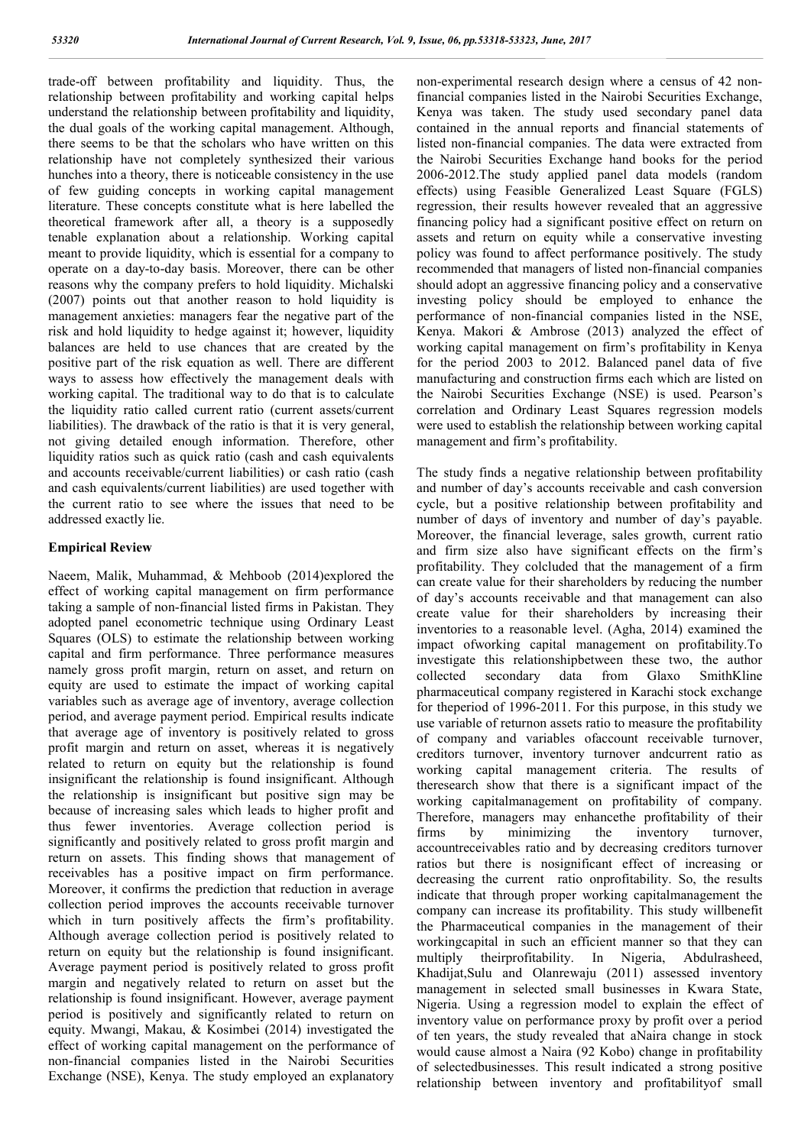trade-off between profitability and liquidity. Thus, the relationship between profitability and working capital helps understand the relationship between profitability and liquidity, the dual goals of the working capital management. Although, there seems to be that the scholars who have written on this relationship have not completely synthesized their various hunches into a theory, there is noticeable consistency in the use of few guiding concepts in working capital management literature. These concepts constitute what is here labelled the theoretical framework after all, a theory is a supposedly tenable explanation about a relationship. Working capital meant to provide liquidity, which is essential for a company to operate on a day-to-day basis. Moreover, there can be other reasons why the company prefers to hold liquidity. Michalski (2007) points out that another reason to hold liquidity is management anxieties: managers fear the negative part of the risk and hold liquidity to hedge against it; however, liquidity balances are held to use chances that are created by the positive part of the risk equation as well. There are different ways to assess how effectively the management deals with working capital. The traditional way to do that is to calculate the liquidity ratio called current ratio (current assets/current liabilities). The drawback of the ratio is that it is very general, not giving detailed enough information. Therefore, other liquidity ratios such as quick ratio (cash and cash equivalents and accounts receivable/current liabilities) or cash ratio (cash and cash equivalents/current liabilities) are used together with the current ratio to see where the issues that need to be addressed exactly lie.

#### **Empirical Review**

Naeem, Malik, Muhammad, & Mehboob (2014)explored the effect of working capital management on firm performance taking a sample of non-financial listed firms in Pakistan. They adopted panel econometric technique using Ordinary Least Squares (OLS) to estimate the relationship between working capital and firm performance. Three performance measures namely gross profit margin, return on asset, and return on equity are used to estimate the impact of working capital variables such as average age of inventory, average collection period, and average payment period. Empirical results indicate that average age of inventory is positively related to gross profit margin and return on asset, whereas it is negatively related to return on equity but the relationship is found insignificant the relationship is found insignificant. Although the relationship is insignificant but positive sign may be because of increasing sales which leads to higher profit and thus fewer inventories. Average collection period is significantly and positively related to gross profit margin and return on assets. This finding shows that management of receivables has a positive impact on firm performance. Moreover, it confirms the prediction that reduction in average collection period improves the accounts receivable turnover which in turn positively affects the firm's profitability. Although average collection period is positively related to return on equity but the relationship is found insignificant. Average payment period is positively related to gross profit margin and negatively related to return on asset but the relationship is found insignificant. However, average payment period is positively and significantly related to return on equity. Mwangi, Makau, & Kosimbei (2014) investigated the effect of working capital management on the performance of non-financial companies listed in the Nairobi Securities Exchange (NSE), Kenya. The study employed an explanatory non-experimental research design where a census of 42 nonfinancial companies listed in the Nairobi Securities Exchange, Kenya was taken. The study used secondary panel data contained in the annual reports and financial statements of listed non-financial companies. The data were extracted from the Nairobi Securities Exchange hand books for the period 2006-2012.The study applied panel data models (random effects) using Feasible Generalized Least Square (FGLS) regression, their results however revealed that an aggressive financing policy had a significant positive effect on return on assets and return on equity while a conservative investing policy was found to affect performance positively. The study recommended that managers of listed non-financial companies should adopt an aggressive financing policy and a conservative investing policy should be employed to enhance the performance of non-financial companies listed in the NSE, Kenya. Makori & Ambrose (2013) analyzed the effect of working capital management on firm's profitability in Kenya for the period 2003 to 2012. Balanced panel data of five manufacturing and construction firms each which are listed on the Nairobi Securities Exchange (NSE) is used. Pearson's correlation and Ordinary Least Squares regression models were used to establish the relationship between working capital management and firm's profitability.

The study finds a negative relationship between profitability and number of day's accounts receivable and cash conversion cycle, but a positive relationship between profitability and number of days of inventory and number of day's payable. Moreover, the financial leverage, sales growth, current ratio and firm size also have significant effects on the firm's profitability. They colcluded that the management of a firm can create value for their shareholders by reducing the number of day's accounts receivable and that management can also create value for their shareholders by increasing their inventories to a reasonable level. (Agha, 2014) examined the impact ofworking capital management on profitability.To investigate this relationshipbetween these two, the author collected secondary data from Glaxo SmithKline pharmaceutical company registered in Karachi stock exchange for theperiod of 1996-2011. For this purpose, in this study we use variable of returnon assets ratio to measure the profitability of company and variables ofaccount receivable turnover, creditors turnover, inventory turnover andcurrent ratio as working capital management criteria. The results of theresearch show that there is a significant impact of the working capitalmanagement on profitability of company. Therefore, managers may enhancethe profitability of their firms by minimizing the inventory turnover, accountreceivables ratio and by decreasing creditors turnover ratios but there is nosignificant effect of increasing or decreasing the current ratio onprofitability. So, the results indicate that through proper working capitalmanagement the company can increase its profitability. This study willbenefit the Pharmaceutical companies in the management of their workingcapital in such an efficient manner so that they can multiply theirprofitability. In Nigeria, Abdulrasheed, Khadijat,Sulu and Olanrewaju (2011) assessed inventory management in selected small businesses in Kwara State, Nigeria. Using a regression model to explain the effect of inventory value on performance proxy by profit over a period of ten years, the study revealed that aNaira change in stock would cause almost a Naira (92 Kobo) change in profitability of selectedbusinesses. This result indicated a strong positive relationship between inventory and profitabilityof small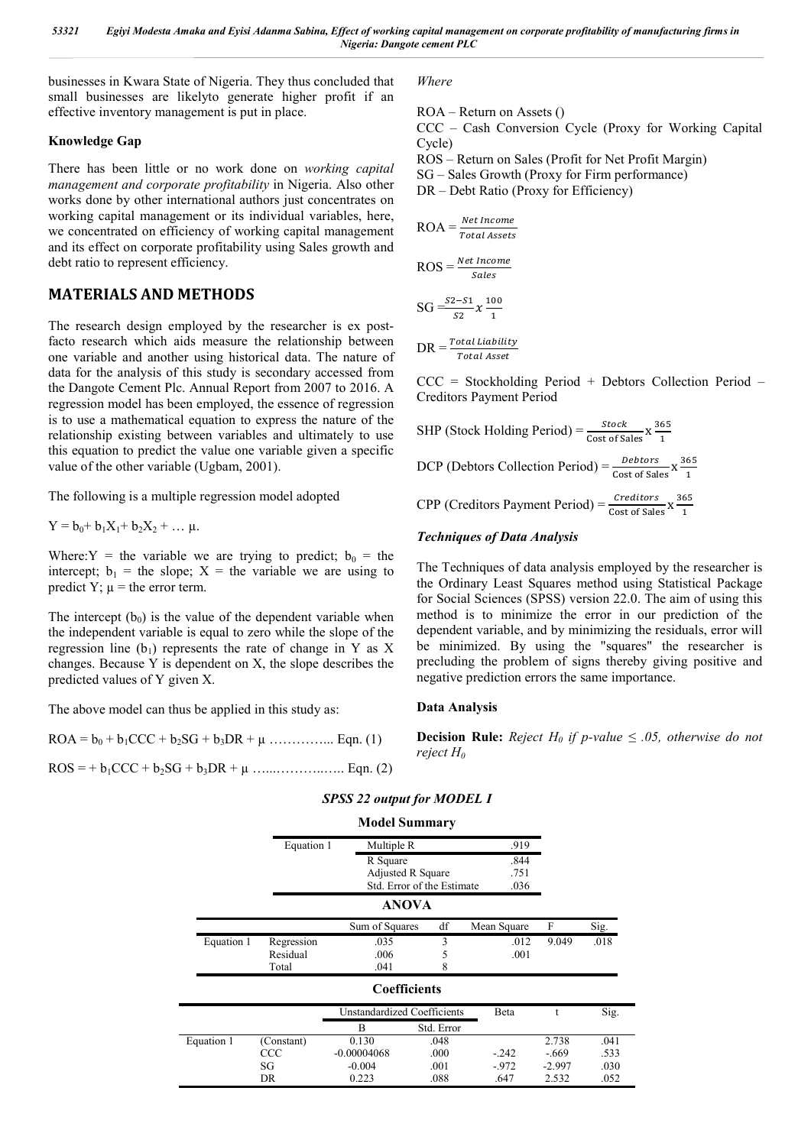businesses in Kwara State of Nigeria. They thus concluded that small businesses are likelyto generate higher profit if an effective inventory management is put in place.

### **Knowledge Gap**

There has been little or no work done on *working capital management and corporate profitability* in Nigeria. Also other works done by other international authors just concentrates on working capital management or its individual variables, here, we concentrated on efficiency of working capital management and its effect on corporate profitability using Sales growth and debt ratio to represent efficiency.

## **MATERIALS AND METHODS**

The research design employed by the researcher is ex postfacto research which aids measure the relationship between one variable and another using historical data. The nature of data for the analysis of this study is secondary accessed from the Dangote Cement Plc. Annual Report from 2007 to 2016. A regression model has been employed, the essence of regression is to use a mathematical equation to express the nature of the relationship existing between variables and ultimately to use this equation to predict the value one variable given a specific value of the other variable (Ugbam, 2001).

The following is a multiple regression model adopted

 $Y = b_0 + b_1X_1 + b_2X_2 + ... \mu.$ 

Where: Y = the variable we are trying to predict;  $b_0$  = the intercept;  $b_1$  = the slope; X = the variable we are using to predict Y;  $\mu$  = the error term.

The intercept  $(b_0)$  is the value of the dependent variable when the independent variable is equal to zero while the slope of the regression line  $(b_1)$  represents the rate of change in Y as X changes. Because Y is dependent on X, the slope describes the predicted values of Y given X.

The above model can thus be applied in this study as:

 $ROA = b_0 + b_1CCC + b_2SG + b_3DR + \mu$  …………….. Eqn. (1)

ROS = + b1CCC + b2SG + b3DR + µ …...………..….. Eqn. (2)

*Where*

ROA – Return on Assets ()

CCC – Cash Conversion Cycle (Proxy for Working Capital Cycle)

ROS – Return on Sales (Profit for Net Profit Margin)

SG – Sales Growth (Proxy for Firm performance)

DR – Debt Ratio (Proxy for Efficiency)

$$
ROA = \frac{Net Income}{Total Assets}
$$

$$
ROS = \frac{Net\ Income}{Sales}
$$

$$
SG = \frac{S2 - S1}{S2} \chi \frac{100}{1}
$$

$$
DR = \frac{Total\;Liability}{Total\; Asset}
$$

CCC = Stockholding Period + Debtors Collection Period – Creditors Payment Period

SHP (Stock Hollding Period) = 
$$
\frac{Stock}{Cost \text{ of Sales}} x \frac{365}{1}
$$
  
DCP (Debtors Collection Period) =  $\frac{Debtors}{Cost \text{ of Sales}} x \frac{365}{1}$   
CPP (Creditors Payment Period) =  $\frac{Creditors}{Cost \text{ of Sales}} x \frac{365}{1}$ 

### *Techniques of Data Analysis*

The Techniques of data analysis employed by the researcher is the Ordinary Least Squares method using Statistical Package for Social Sciences (SPSS) version 22.0. The aim of using this method is to minimize the error in our prediction of the dependent variable, and by minimizing the residuals, error will be minimized. By using the "squares" the researcher is precluding the problem of signs thereby giving positive and negative prediction errors the same importance.

### **Data Analysis**

**Decision Rule:** *Reject*  $H_0$  *if p-value*  $\leq .05$ *, otherwise do not reject H0*

|            |            | <b>Model Summary</b>        |                   |             |       |      |
|------------|------------|-----------------------------|-------------------|-------------|-------|------|
|            | Equation 1 | Multiple R                  |                   | .919        |       |      |
|            |            | R Square                    | Adjusted R Square |             |       |      |
|            |            |                             |                   |             |       |      |
|            |            | Std. Error of the Estimate  |                   | .036        |       |      |
|            |            | <b>ANOVA</b>                |                   |             |       |      |
|            |            | Sum of Squares              | df                | Mean Square | F     | Sig. |
| Equation 1 | Regression | .035                        | 3                 | .012        | 9.049 | .018 |
|            | Residual   | .006                        | 5                 | .001        |       |      |
|            | Total      | .041                        | 8                 |             |       |      |
|            |            | <b>Coefficients</b>         |                   |             |       |      |
|            |            | Unstandardized Coefficients |                   | Reta        |       | Sio  |

# *SPSS 22 output for MODEL I*

|            |            | Unstandardized Coefficients |            | Beta   |          | Sig. |
|------------|------------|-----------------------------|------------|--------|----------|------|
|            |            |                             | Std. Error |        |          |      |
| Equation 1 | (Constant) | 0.130                       | .048       |        | 2.738    | .041 |
|            | CCC        | $-0.00004068$               | .000       | $-242$ | $-.669$  | .533 |
|            | SG         | $-0.004$                    | .001       | $-972$ | $-2.997$ | .030 |
|            | DR         | 0.223                       | .088       | .647   | 2.532    | .052 |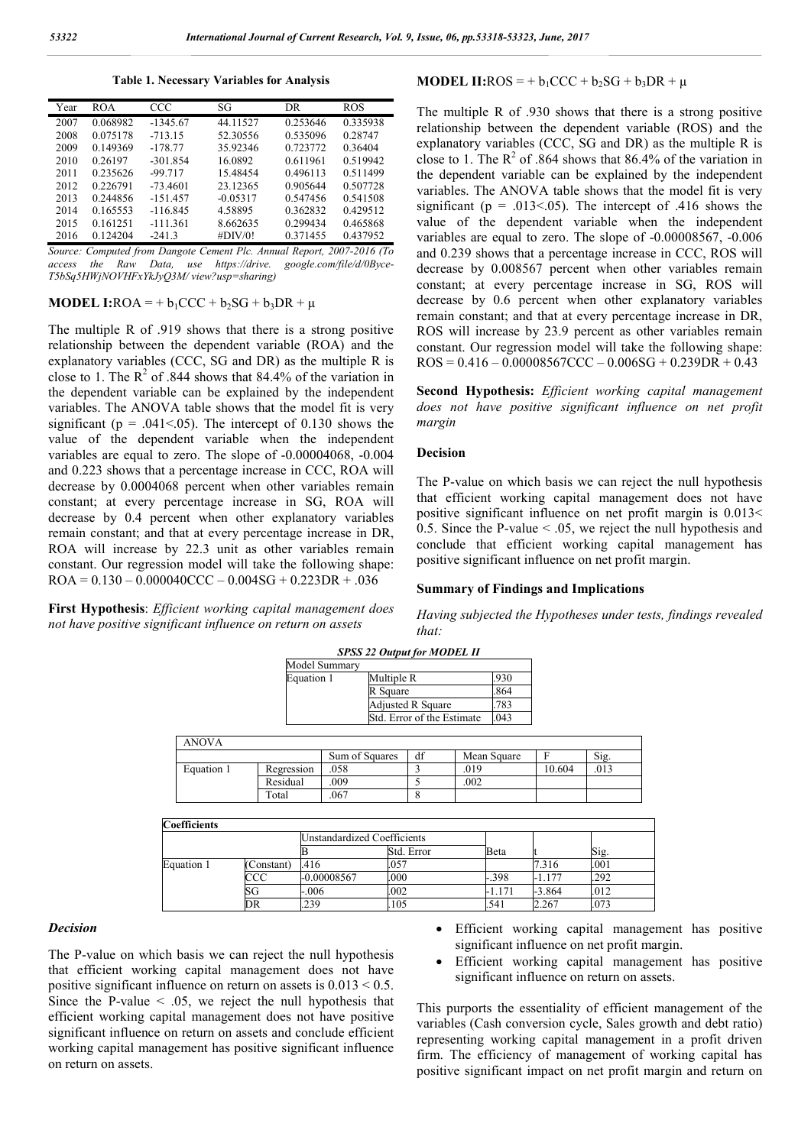**Table 1. Necessary Variables for Analysis**

| Year | <b>ROA</b> | <b>CCC</b> | SG         | DR       | ROS      |
|------|------------|------------|------------|----------|----------|
| 2007 | 0.068982   | $-1345.67$ | 44.11527   | 0.253646 | 0.335938 |
| 2008 | 0.075178   | $-713.15$  | 52.30556   | 0.535096 | 0.28747  |
| 2009 | 0.149369   | $-178.77$  | 35.92346   | 0.723772 | 0.36404  |
| 2010 | 0.26197    | $-301.854$ | 16.0892    | 0.611961 | 0.519942 |
| 2011 | 0.235626   | $-99.717$  | 15.48454   | 0.496113 | 0.511499 |
| 2012 | 0.226791   | $-73.4601$ | 23.12365   | 0.905644 | 0.507728 |
| 2013 | 0.244856   | $-151.457$ | $-0.05317$ | 0.547456 | 0.541508 |
| 2014 | 0.165553   | $-116.845$ | 4.58895    | 0.362832 | 0.429512 |
| 2015 | 0.161251   | $-111.361$ | 8.662635   | 0.299434 | 0.465868 |
| 2016 | 0.124204   | $-241.3$   | #DIV/0!    | 0.371455 | 0.437952 |

*Source: Computed from Dangote Cement Plc. Annual Report, 2007-2016 (To access the Raw Data, use https://drive. google.com/file/d/0Byce-T5bSq5HWjNOVHFxYkJyQ3M/ view?usp=sharing)*

**MODEL I:**ROA = +  $b_1$ CCC +  $b_2$ SG +  $b_3$ DR +  $\mu$ 

The multiple R of .919 shows that there is a strong positive relationship between the dependent variable (ROA) and the explanatory variables (CCC, SG and DR) as the multiple R is close to 1. The  $R^2$  of .844 shows that 84.4% of the variation in the dependent variable can be explained by the independent variables. The ANOVA table shows that the model fit is very significant ( $p = .041 \le 0.05$ ). The intercept of 0.130 shows the value of the dependent variable when the independent variables are equal to zero. The slope of -0.00004068, -0.004 and 0.223 shows that a percentage increase in CCC, ROA will decrease by 0.0004068 percent when other variables remain constant; at every percentage increase in SG, ROA will decrease by 0.4 percent when other explanatory variables remain constant; and that at every percentage increase in DR, ROA will increase by 22.3 unit as other variables remain constant. Our regression model will take the following shape:  $ROA = 0.130 - 0.000040CCC - 0.004SG + 0.223DR + .036$ 

**First Hypothesis**: *Efficient working capital management does not have positive significant influence on return on assets*

#### **MODEL II:**ROS = +  $b_1$ CCC +  $b_2$ SG +  $b_3$ DR +  $\mu$

The multiple R of .930 shows that there is a strong positive relationship between the dependent variable (ROS) and the explanatory variables (CCC, SG and DR) as the multiple R is close to 1. The  $R^2$  of .864 shows that 86.4% of the variation in the dependent variable can be explained by the independent variables. The ANOVA table shows that the model fit is very significant ( $p = .013<0.05$ ). The intercept of .416 shows the value of the dependent variable when the independent variables are equal to zero. The slope of -0.00008567, -0.006 and 0.239 shows that a percentage increase in CCC, ROS will decrease by 0.008567 percent when other variables remain constant; at every percentage increase in SG, ROS will decrease by 0.6 percent when other explanatory variables remain constant; and that at every percentage increase in DR, ROS will increase by 23.9 percent as other variables remain constant. Our regression model will take the following shape:  $ROS = 0.416 - 0.00008567CCC - 0.006SG + 0.239DR + 0.43$ 

**Second Hypothesis:** *Efficient working capital management does not have positive significant influence on net profit margin*

#### **Decision**

The P-value on which basis we can reject the null hypothesis that efficient working capital management does not have positive significant influence on net profit margin is 0.013< 0.5. Since the P-value < .05, we reject the null hypothesis and conclude that efficient working capital management has positive significant influence on net profit margin.

#### **Summary of Findings and Implications**

*Having subjected the Hypotheses under tests, findings revealed that:*

|              |               |                |                                             | ~~~~~~~~~~~~~~~~~~         |             |      |        |      |
|--------------|---------------|----------------|---------------------------------------------|----------------------------|-------------|------|--------|------|
|              | Model Summary |                |                                             |                            |             |      |        |      |
|              | Equation 1    |                | Multiple R<br>R Square<br>Adjusted R Square |                            | .930        |      |        |      |
|              |               |                |                                             |                            | .864        |      |        |      |
|              |               |                |                                             |                            | .783        |      |        |      |
|              |               |                |                                             | Std. Error of the Estimate |             | .043 |        |      |
|              |               |                |                                             |                            |             |      |        |      |
| <b>ANOVA</b> |               |                |                                             |                            |             |      |        |      |
|              |               | Sum of Squares |                                             | df                         | Mean Square |      |        | Sig. |
| Equation 1   | Regression    | .058           |                                             |                            | .019        |      | 10.604 | .013 |
|              | Residual      | .009           |                                             | 5                          | .002        |      |        |      |
|              | Total         | .067           |                                             | 8                          |             |      |        |      |

*SPSS 22 Output for MODEL II*

| Coefficients |           |                                    |            |          |          |      |  |
|--------------|-----------|------------------------------------|------------|----------|----------|------|--|
|              |           | <b>Unstandardized Coefficients</b> |            |          |          |      |  |
|              |           |                                    | Std. Error | Beta     |          | Sig. |  |
| Equation 1   | Constant) | .416                               | .057       |          | 7.316    | .001 |  |
|              | CCC       | -0.00008567                        | .000       | $-0.398$ | -1.177   | .292 |  |
|              | SG        | $-.006$                            | .002       | -1.171   | $-3.864$ | .012 |  |
|              | DR        | .239                               | 105        | .541     | 2.267    | .073 |  |

#### *Decision*

The P-value on which basis we can reject the null hypothesis that efficient working capital management does not have positive significant influence on return on assets is  $0.013 \le 0.5$ . Since the P-value  $\leq$  0.05, we reject the null hypothesis that efficient working capital management does not have positive significant influence on return on assets and conclude efficient working capital management has positive significant influence on return on assets.

- Efficient working capital management has positive significant influence on net profit margin.
- Efficient working capital management has positive significant influence on return on assets.

This purports the essentiality of efficient management of the variables (Cash conversion cycle, Sales growth and debt ratio) representing working capital management in a profit driven firm. The efficiency of management of working capital has positive significant impact on net profit margin and return on